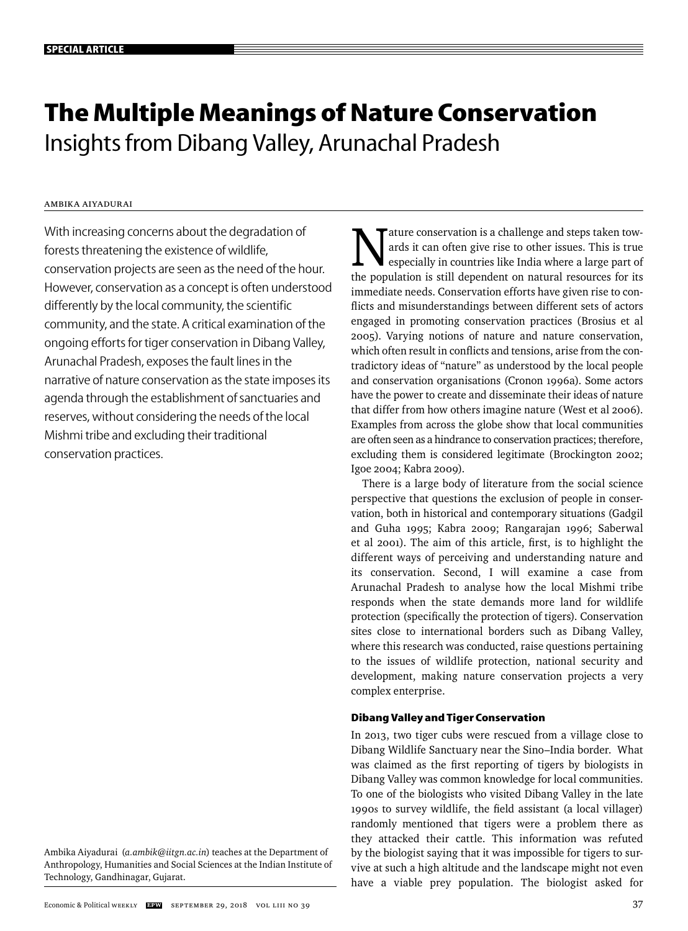# **The Multiple Meanings of Nature Conservation** Insights from Dibang Valley, Arunachal Pradesh

# Ambika Aiyadurai

With increasing concerns about the degradation of forests threatening the existence of wildlife, conservation projects are seen as the need of the hour. However, conservation as a concept is often understood differently by the local community, the scientific community, and the state. A critical examination of the ongoing efforts for tiger conservation in Dibang Valley, Arunachal Pradesh, exposes the fault lines in the narrative of nature conservation as the state imposes its agenda through the establishment of sanctuaries and reserves, without considering the needs of the local Mishmi tribe and excluding their traditional conservation practices.

Ambika Aiyadurai (*a.ambik@iitgn.ac.in*) teaches at the Department of Anthropology, Humanities and Social Sciences at the Indian Institute of Technology, Gandhinagar, Gujarat.

ature conservation is a challenge and steps taken towards it can often give rise to other issues. This is true especially in countries like India where a large part of the population is still dependent on natural resources for its immediate needs. Conservation efforts have given rise to conflicts and misunderstandings between different sets of actors engaged in promoting conservation practices (Brosius et al 2005). Varying notions of nature and nature conservation, which often result in conflicts and tensions, arise from the contradictory ideas of "nature" as understood by the local people and conservation organisations (Cronon 1996a). Some actors have the power to create and disseminate their ideas of nature that differ from how others imagine nature (West et al 2006). Examples from across the globe show that local communities are often seen as a hindrance to conservation practices; therefore, excluding them is considered legitimate (Brockington 2002; Igoe 2004; Kabra 2009).

There is a large body of literature from the social science perspective that questions the exclusion of people in conservation, both in historical and contemporary situations (Gadgil and Guha 1995; Kabra 2009; Rangarajan 1996; Saberwal et al 2001). The aim of this article, first, is to highlight the different ways of perceiving and understanding nature and its conservation. Second, I will examine a case from Arunachal Pradesh to analyse how the local Mishmi tribe responds when the state demands more land for wildlife protection (specifically the protection of tigers). Conservation sites close to international borders such as Dibang Valley, where this research was conducted, raise questions pertaining to the issues of wildlife protection, national security and development, making nature conservation projects a very complex enterprise.

# **Dibang Valley and Tiger Conservation**

In 2013, two tiger cubs were rescued from a village close to Dibang Wildlife Sanctuary near the Sino–India border. What was claimed as the first reporting of tigers by biologists in Dibang Valley was common knowledge for local communities. To one of the biologists who visited Dibang Valley in the late 1990s to survey wildlife, the field assistant (a local villager) randomly mentioned that tigers were a problem there as they attacked their cattle. This information was refuted by the biologist saying that it was impossible for tigers to survive at such a high altitude and the landscape might not even have a viable prey population. The biologist asked for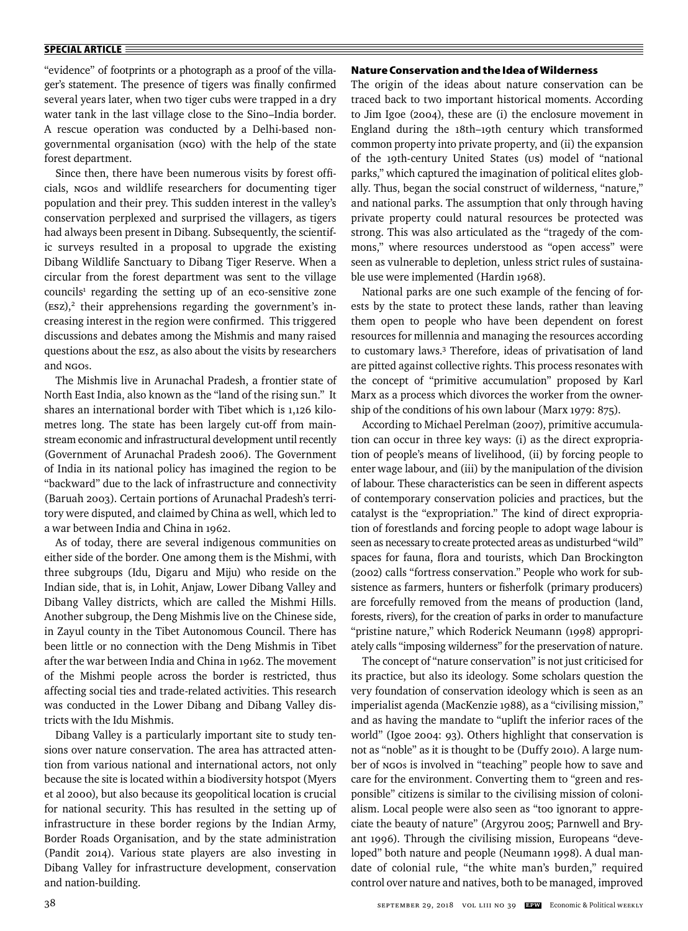"evidence" of footprints or a photograph as a proof of the villager's statement. The presence of tigers was finally confirmed several years later, when two tiger cubs were trapped in a dry water tank in the last village close to the Sino–India border. A rescue operation was conducted by a Delhi-based nongovernmental organisation (NGO) with the help of the state forest department.

Since then, there have been numerous visits by forest officials, NGOs and wildlife researchers for documenting tiger population and their prey. This sudden interest in the valley's conservation perplexed and surprised the villagers, as tigers had always been present in Dibang. Subsequently, the scientific surveys resulted in a proposal to upgrade the existing Dibang Wildlife Sanctuary to Dibang Tiger Reserve. When a circular from the forest department was sent to the village councils<sup>1</sup> regarding the setting up of an eco-sensitive zone  $($ Esz $)$ ,<sup>2</sup> their apprehensions regarding the government's increasing interest in the region were confirmed. This triggered discussions and debates among the Mishmis and many raised questions about the ESZ, as also about the visits by researchers and NGOs.

The Mishmis live in Arunachal Pradesh, a frontier state of North East India, also known as the "land of the rising sun." It shares an international border with Tibet which is 1,126 kilometres long. The state has been largely cut-off from mainstream economic and infrastructural development until recently (Government of Arunachal Pradesh 2006). The Government of India in its national policy has imagined the region to be "backward" due to the lack of infrastructure and connectivity (Baruah 2003). Certain portions of Arunachal Pradesh's territory were disputed, and claimed by China as well, which led to a war between India and China in 1962.

As of today, there are several indigenous communities on either side of the border. One among them is the Mishmi, with three subgroups (Idu, Digaru and Miju) who reside on the Indian side, that is, in Lohit, Anjaw, Lower Dibang Valley and Dibang Valley districts, which are called the Mishmi Hills. Another subgroup, the Deng Mishmis live on the Chinese side, in Zayul county in the Tibet Autonomous Council. There has been little or no connection with the Deng Mishmis in Tibet after the war between India and China in 1962. The movement of the Mishmi people across the border is restricted, thus affecting social ties and trade-related activities. This research was conducted in the Lower Dibang and Dibang Valley districts with the Idu Mishmis.

Dibang Valley is a particularly important site to study tensions over nature conservation. The area has attracted attention from various national and international actors, not only because the site is located within a biodiversity hotspot (Myers et al 2000), but also because its geopolitical location is crucial for national security. This has resulted in the setting up of infrastructure in these border regions by the Indian Army, Border Roads Organisation, and by the state administration (Pandit 2014). Various state players are also investing in Dibang Valley for infrastructure development, conservation and nation-building.

### **Nature Conservation and the Idea of Wilderness**

The origin of the ideas about nature conservation can be traced back to two important historical moments. According to Jim Igoe (2004), these are (i) the enclosure movement in England during the 18th–19th century which transformed common property into private property, and (ii) the expansion of the 19th-century United States (US) model of "national parks," which captured the imagination of political elites globally. Thus, began the social construct of wilderness, "nature," and national parks. The assumption that only through having private property could natural resources be protected was strong. This was also articulated as the "tragedy of the commons," where resources understood as "open access" were seen as vulnerable to depletion, unless strict rules of sustainable use were implemented (Hardin 1968).

National parks are one such example of the fencing of forests by the state to protect these lands, rather than leaving them open to people who have been dependent on forest resources for millennia and managing the resources according to customary laws.3 Therefore, ideas of privatisation of land are pitted against collective rights. This process resonates with the concept of "primitive accumulation" proposed by Karl Marx as a process which divorces the worker from the ownership of the conditions of his own labour (Marx 1979: 875).

According to Michael Perelman (2007), primitive accumulation can occur in three key ways: (i) as the direct expropriation of people's means of livelihood, (ii) by forcing people to enter wage labour, and (iii) by the manipulation of the division of labour. These characteristics can be seen in different aspects of contemporary conservation policies and practices, but the catalyst is the "expropriation." The kind of direct expropriation of forestlands and forcing people to adopt wage labour is seen as necessary to create protected areas as undisturbed "wild" spaces for fauna, flora and tourists, which Dan Brockington (2002) calls "fortress conservation." People who work for subsistence as farmers, hunters or fisherfolk (primary producers) are forcefully removed from the means of production (land, forests, rivers), for the creation of parks in order to manufacture "pristine nature," which Roderick Neumann (1998) appropriately calls "imposing wilderness" for the preservation of nature.

The concept of "nature conservation" is not just criticised for its practice, but also its ideology. Some scholars question the very foundation of conservation ideology which is seen as an imperialist agenda (MacKenzie 1988), as a "civilising mission," and as having the mandate to "uplift the inferior races of the world" (Igoe 2004: 93). Others highlight that conservation is not as "noble" as it is thought to be (Duffy 2010). A large number of NGOs is involved in "teaching" people how to save and care for the environment. Converting them to "green and responsible" citizens is similar to the civilising mission of colonialism. Local people were also seen as "too ignorant to appreciate the beauty of nature" (Argyrou 2005; Parnwell and Bryant 1996). Through the civilising mission, Europeans "developed" both nature and people (Neumann 1998). A dual mandate of colonial rule, "the white man's burden," required control over nature and natives, both to be managed, improved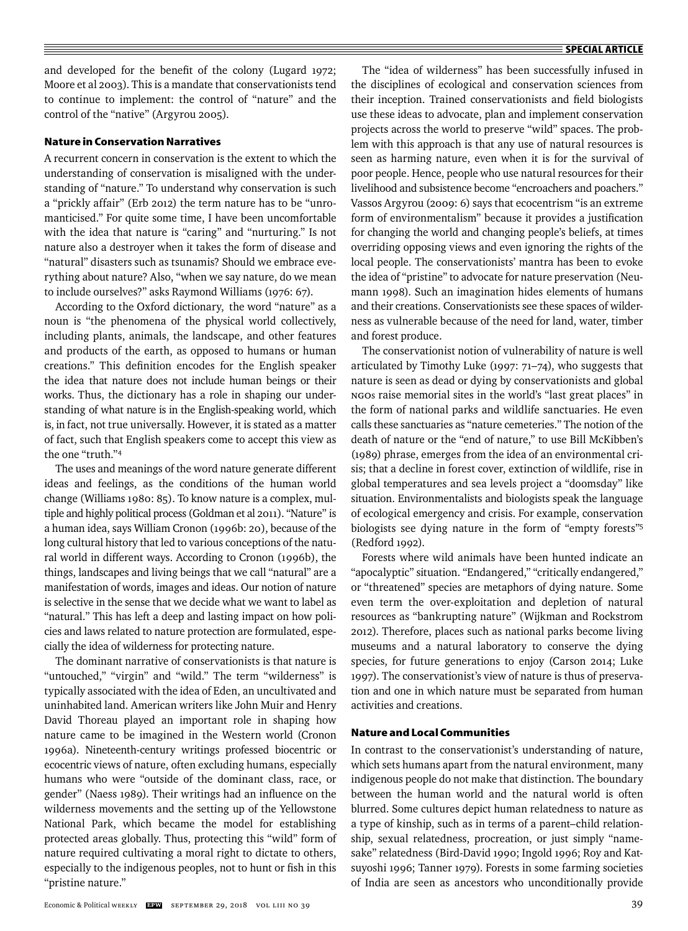and developed for the benefit of the colony (Lugard 1972; Moore et al 2003). This is a mandate that conservationists tend to continue to implement: the control of "nature" and the control of the "native" (Argyrou 2005).

# **Nature in Conservation Narratives**

A recurrent concern in conservation is the extent to which the understanding of conservation is misaligned with the understanding of "nature." To understand why conservation is such a "prickly affair" (Erb 2012) the term nature has to be "unromanticised." For quite some time, I have been uncomfortable with the idea that nature is "caring" and "nurturing." Is not nature also a destroyer when it takes the form of disease and "natural" disasters such as tsunamis? Should we embrace everything about nature? Also, "when we say nature, do we mean to include ourselves?" asks Raymond Williams (1976: 67).

According to the Oxford dictionary, the word "nature" as a noun is "the phenomena of the physical world collectively, including plants, animals, the landscape, and other features and products of the earth, as opposed to humans or human creations." This definition encodes for the English speaker the idea that nature does not include human beings or their works. Thus, the dictionary has a role in shaping our understanding of what nature is in the English-speaking world, which is, in fact, not true universally. However, it is stated as a matter of fact, such that English speakers come to accept this view as the one "truth."4

The uses and meanings of the word nature generate different ideas and feelings, as the conditions of the human world change (Williams 1980: 85). To know nature is a complex, multiple and highly political process (Goldman et al 2011). "Nature" is a human idea, says William Cronon (1996b: 20), because of the long cultural history that led to various conceptions of the natural world in different ways. According to Cronon (1996b), the things, landscapes and living beings that we call "natural" are a manifestation of words, images and ideas. Our notion of nature is selective in the sense that we decide what we want to label as "natural." This has left a deep and lasting impact on how policies and laws related to nature protection are formulated, especially the idea of wilderness for protecting nature.

The dominant narrative of conservationists is that nature is "untouched," "virgin" and "wild." The term "wilderness" is typically associated with the idea of Eden, an uncultivated and uninhabited land. American writers like John Muir and Henry David Thoreau played an important role in shaping how nature came to be imagined in the Western world (Cronon 1996a). Nineteenth-century writings professed biocentric or ecocentric views of nature, often excluding humans, especially humans who were "outside of the dominant class, race, or gender" (Naess 1989). Their writings had an influence on the wilderness movements and the setting up of the Yellowstone National Park, which became the model for establishing protected areas globally. Thus, protecting this "wild" form of nature required cultivating a moral right to dictate to others, especially to the indigenous peoples, not to hunt or fish in this "pristine nature."

The "idea of wilderness" has been successfully infused in the disciplines of ecological and conservation sciences from their inception. Trained conservationists and field biologists use these ideas to advocate, plan and implement conservation projects across the world to preserve "wild" spaces. The problem with this approach is that any use of natural resources is seen as harming nature, even when it is for the survival of poor people. Hence, people who use natural resources for their livelihood and subsistence become "encroachers and poachers ." Vassos Argyrou (2009: 6) says that ecocentrism "is an extreme form of environmentalism" because it provides a justification for changing the world and changing people's beliefs, at times overriding opposing views and even ignoring the rights of the local people. The conservationists' mantra has been to evoke the idea of "pristine" to advocate for nature preservation (Neumann 1998). Such an imagination hides elements of humans and their creations. Conservationists see these spaces of wilderness as vulnerable because of the need for land, water, timber and forest produce.

The conservationist notion of vulnerability of nature is well articulated by Timothy Luke (1997: 71–74), who suggests that nature is seen as dead or dying by conservationists and global NGOs raise memorial sites in the world's "last great places" in the form of national parks and wildlife sanctuaries. He even calls these sanctuaries as "nature cemeteries." The notion of the death of nature or the "end of nature," to use Bill McKibben's (1989) phrase, emerges from the idea of an environmental crisis; that a decline in forest cover, extinction of wildlife, rise in global temperatures and sea levels project a "doomsday" like situation. Environmentalists and biologists speak the language of ecological emergency and crisis. For example, conservation biologists see dying nature in the form of "empty forests"5 (Redford 1992).

Forests where wild animals have been hunted indicate an "apocalyptic" situation. "Endangered," "critically endangered," or "threatened" species are metaphors of dying nature. Some even term the over-exploitation and depletion of natural resources as "bankrupting nature" (Wijkman and Rockstrom 2012). Therefore, places such as national parks become living museums and a natural laboratory to conserve the dying species, for future generations to enjoy (Carson 2014; Luke 1997). The conservationist's view of nature is thus of preservation and one in which nature must be separated from human activities and creations.

# **Nature and Local Communities**

In contrast to the conservationist's understanding of nature, which sets humans apart from the natural environment, many indigenous people do not make that distinction. The boundary between the human world and the natural world is often blurred. Some cultures depict human relatedness to nature as a type of kinship, such as in terms of a parent–child relationship, sexual relatedness, procreation, or just simply "namesake" relatedness (Bird-David 1990; Ingold 1996; Roy and Katsuyoshi 1996; Tanner 1979). Forests in some farming societies of India are seen as ancestors who unconditionally provide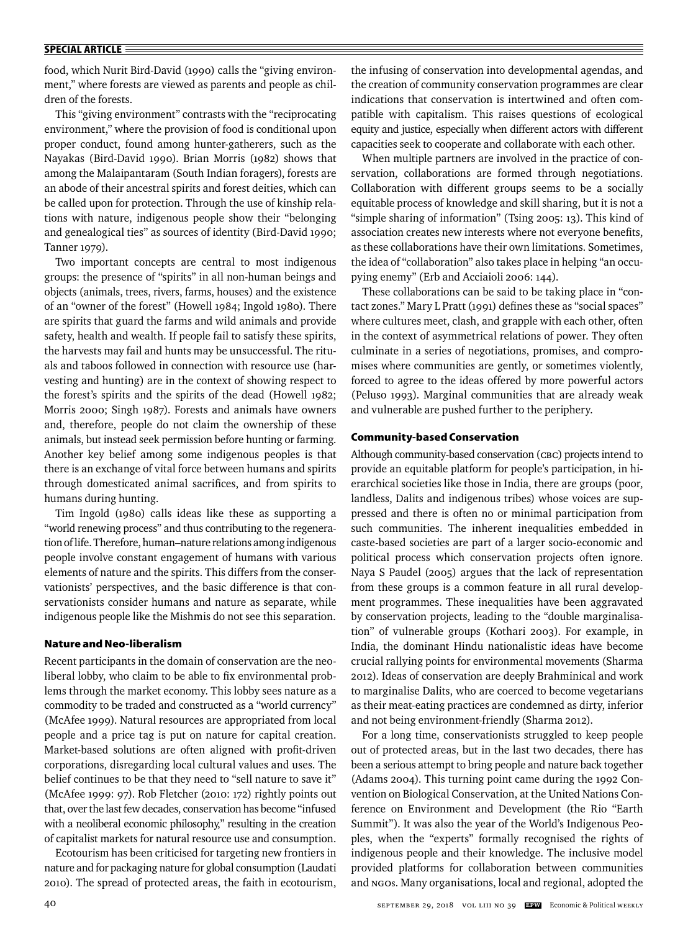food, which Nurit Bird-David (1990) calls the "giving environment," where forests are viewed as parents and people as children of the forests.

This "giving environment" contrasts with the "reciprocating environment," where the provision of food is conditional upon proper conduct, found among hunter-gatherers, such as the Nayakas (Bird-David 1990). Brian Morris (1982) shows that among the Malaipantaram (South Indian foragers), forests are an abode of their ancestral spirits and forest deities, which can be called upon for protection. Through the use of kinship relations with nature, indigenous people show their "belonging and genealogical ties" as sources of identity (Bird-David 1990; Tanner 1979).

Two important concepts are central to most indigenous groups: the presence of "spirits" in all non-human beings and objects (animals, trees, rivers, farms, houses) and the existence of an "owner of the forest" (Howell 1984; Ingold 1980). There are spirits that guard the farms and wild animals and provide safety, health and wealth. If people fail to satisfy these spirits, the harvests may fail and hunts may be unsuccessful. The rituals and taboos followed in connection with resource use (harvesting and hunting) are in the context of showing respect to the forest's spirits and the spirits of the dead (Howell 1982; Morris 2000; Singh 1987). Forests and animals have owners and, therefore, people do not claim the ownership of these animals, but instead seek permission before hunting or farming. Another key belief among some indigenous peoples is that there is an exchange of vital force between humans and spirits through domesticated animal sacrifices, and from spirits to humans during hunting.

Tim Ingold (1980) calls ideas like these as supporting a "world renewing process" and thus contributing to the regeneration of life. Therefore, human–nature relations among indigenous people involve constant engagement of humans with various elements of nature and the spirits. This differs from the conservationists' perspectives, and the basic difference is that conservationists consider humans and nature as separate, while indigenous people like the Mishmis do not see this separation.

## **Nature and Neo-liberalism**

Recent participants in the domain of conservation are the neoliberal lobby, who claim to be able to fix environmental problems through the market economy. This lobby sees nature as a commodity to be traded and constructed as a "world currency" (McAfee 1999). Natural resources are appropriated from local people and a price tag is put on nature for capital creation. Market-based solutions are often aligned with profit-driven corporations, disregarding local cultural values and uses. The belief continues to be that they need to "sell nature to save it" (McAfee 1999: 97). Rob Fletcher (2010: 172) rightly points out that, over the last few decades, conservation has become "infused with a neoliberal economic philosophy," resulting in the creation of capitalist markets for natural resource use and consumption.

Ecotourism has been criticised for targeting new frontiers in nature and for packaging nature for global consumption (Laudati 2010). The spread of protected areas, the faith in ecotourism, the infusing of conservation into developmental agendas, and the creation of community conservation programmes are clear indications that conservation is intertwined and often compatible with capitalism. This raises questions of ecological equity and justice, especially when different actors with different capacities seek to cooperate and collaborate with each other.

When multiple partners are involved in the practice of conservation, collaborations are formed through negotiations. Collaboration with different groups seems to be a socially equi table process of knowledge and skill sharing, but it is not a "simple sharing of information" (Tsing 2005: 13). This kind of association creates new interests where not everyone benefits, as these collaborations have their own limitations. Sometimes, the idea of "collaboration" also takes place in helping "an occupying enemy" (Erb and Acciaioli 2006: 144).

These collaborations can be said to be taking place in "contact zones." Mary L Pratt (1991) defines these as "social spaces" where cultures meet, clash, and grapple with each other, often in the context of asymmetrical relations of power. They often culminate in a series of negotiations, promises, and compromises where communities are gently, or sometimes violently, forced to agree to the ideas offered by more powerful actors (Peluso 1993). Marginal communities that are already weak and vulnerable are pushed further to the periphery.

## **Community-based Conservation**

Although community-based conservation (CBC) projects intend to provide an equitable platform for people's participation, in hierarchical societies like those in India, there are groups (poor, landless, Dalits and indigenous tribes) whose voices are suppressed and there is often no or minimal participation from such communities. The inherent inequalities embedded in caste-based societies are part of a larger socio-economic and political process which conservation projects often ignore. Naya S Paudel (2005) argues that the lack of representation from these groups is a common feature in all rural development programmes. These inequalities have been aggravated by conservation projects, leading to the "double marginalisation" of vulnerable groups (Kothari 2003). For example, in India, the dominant Hindu nationalistic ideas have become crucial rallying points for environmental movements (Sharma 2012). Ideas of conservation are deeply Brahminical and work to marginalise Dalits, who are coerced to become vegetarians as their meat-eating practices are condemned as dirty, inferior and not being environment-friendly (Sharma 2012).

For a long time, conservationists struggled to keep people out of protected areas, but in the last two decades, there has been a serious attempt to bring people and nature back together (Adams 2004). This turning point came during the 1992 Convention on Biological Conservation, at the United Nations Conference on Environment and Development (the Rio "Earth Summit"). It was also the year of the World's Indigenous Peoples, when the "experts" formally recognised the rights of indigenous people and their knowledge. The inclusive model provided platforms for collaboration between communities and NGOs. Many organisations, local and regional, adopted the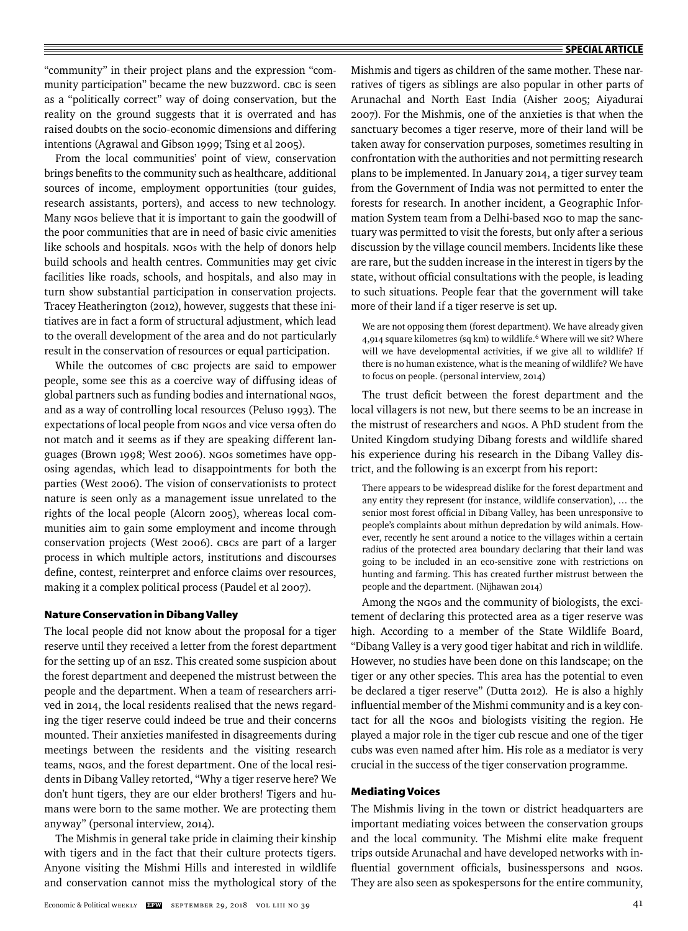"community" in their project plans and the expression "community participation" became the new buzzword. CBC is seen as a "politically correct" way of doing conservation, but the reality on the ground suggests that it is overrated and has raised doubts on the socio-economic dimensions and differing intentions (Agrawal and Gibson 1999; Tsing et al 2005).

From the local communities' point of view, conservation brings benefits to the community such as healthcare, additional sources of income, employment opportunities (tour guides, research assistants, porters), and access to new technology. Many NGOs believe that it is important to gain the goodwill of the poor communities that are in need of basic civic amenities like schools and hospitals. NGOs with the help of donors help build schools and health centres. Communities may get civic facilities like roads, schools, and hospitals, and also may in turn show substantial participation in conservation projects. Tracey Heatherington (2012), however, suggests that these initiatives are in fact a form of structural adjustment, which lead to the overall development of the area and do not particularly result in the conservation of resources or equal participation.

While the outcomes of CBC projects are said to empower people, some see this as a coercive way of diffusing ideas of global partners such as funding bodies and international NGOs, and as a way of controlling local resources (Peluso 1993). The expectations of local people from NGOs and vice versa often do not match and it seems as if they are speaking different languages (Brown 1998; West 2006). NGOs sometimes have opposing agendas, which lead to disappointments for both the parties (West 2006). The vision of conservationists to protect nature is seen only as a management issue unrelated to the rights of the local people (Alcorn 2005), whereas local communities aim to gain some employment and income through conservation projects (West 2006). CBCs are part of a larger process in which multiple actors, institutions and discourses define, contest, reinterpret and enforce claims over resources, making it a complex political process (Paudel et al 2007).

## **Nature Conservation in Dibang Valley**

The local people did not know about the proposal for a tiger reserve until they received a letter from the forest department for the setting up of an ESZ. This created some suspicion about the forest department and deepened the mistrust between the people and the department. When a team of researchers arrived in 2014, the local residents realised that the news regarding the tiger reserve could indeed be true and their concerns mounted. Their anxieties manifested in disagreements during meetings between the residents and the visiting research teams, NGOs, and the forest department. One of the local residents in Dibang Valley retorted, "Why a tiger reserve here? We don't hunt tigers, they are our elder brothers! Tigers and humans were born to the same mother. We are protecting them anyway" (personal interview, 2014).

The Mishmis in general take pride in claiming their kinship with tigers and in the fact that their culture protects tigers. Anyone visiting the Mishmi Hills and interested in wildlife and conservation cannot miss the mythological story of the Mishmis and tigers as children of the same mother. These narratives of tigers as siblings are also popular in other parts of Arunachal and North East India (Aisher 2005; Aiyadurai 2007). For the Mishmis, one of the anxieties is that when the sanctuary becomes a tiger reserve, more of their land will be taken away for conservation purposes, sometimes resulting in confrontation with the authorities and not permitting research plans to be implemented. In January 2014, a tiger survey team from the Government of India was not permitted to enter the forests for research. In another incident, a Geographic Information System team from a Delhi-based NGO to map the sanctuary was permitted to visit the forests, but only after a serious discussion by the village council members. Incidents like these are rare, but the sudden increase in the interest in tigers by the state, without official consultations with the people, is leading to such situations. People fear that the government will take more of their land if a tiger reserve is set up.

We are not opposing them (forest department). We have already given 4,914 square kilometres (sq km) to wildlife.<sup>6</sup> Where will we sit? Where will we have developmental activities, if we give all to wildlife? If there is no human existence, what is the meaning of wildlife? We have to focus on people. (personal interview, 2014)

The trust deficit between the forest department and the local villagers is not new, but there seems to be an increase in the mistrust of researchers and NGOs. A PhD student from the United Kingdom studying Dibang forests and wildlife shared his experience during his research in the Dibang Valley district, and the following is an excerpt from his report:

There appears to be widespread dislike for the forest department and any entity they represent (for instance, wildlife conservation), … the senior most forest official in Dibang Valley, has been unresponsive to people's complaints about mithun depredation by wild animals. However, recently he sent around a notice to the villages within a certain radius of the protected area boundary declaring that their land was going to be included in an eco-sensitive zone with restrictions on hunting and farming. This has created further mistrust between the people and the department. (Nijhawan 2014)

Among the NGOs and the community of biologists, the excitement of declaring this protected area as a tiger reserve was high. According to a member of the State Wildlife Board, "Dibang Valley is a very good tiger habitat and rich in wildlife. However, no studies have been done on this landscape; on the tiger or any other species. This area has the potential to even be declared a tiger reserve" (Dutta 2012)*.* He is also a highly influential member of the Mishmi community and is a key contact for all the NGOs and biologists visiting the region. He played a major role in the tiger cub rescue and one of the tiger cubs was even named after him. His role as a mediator is very crucial in the success of the tiger conservation programme.

# **Mediating Voices**

The Mishmis living in the town or district headquarters are important mediating voices between the conservation groups and the local community. The Mishmi elite make frequent trips outside Arunachal and have developed networks with influential government officials, businesspersons and NGOs. They are also seen as spokespersons for the entire community,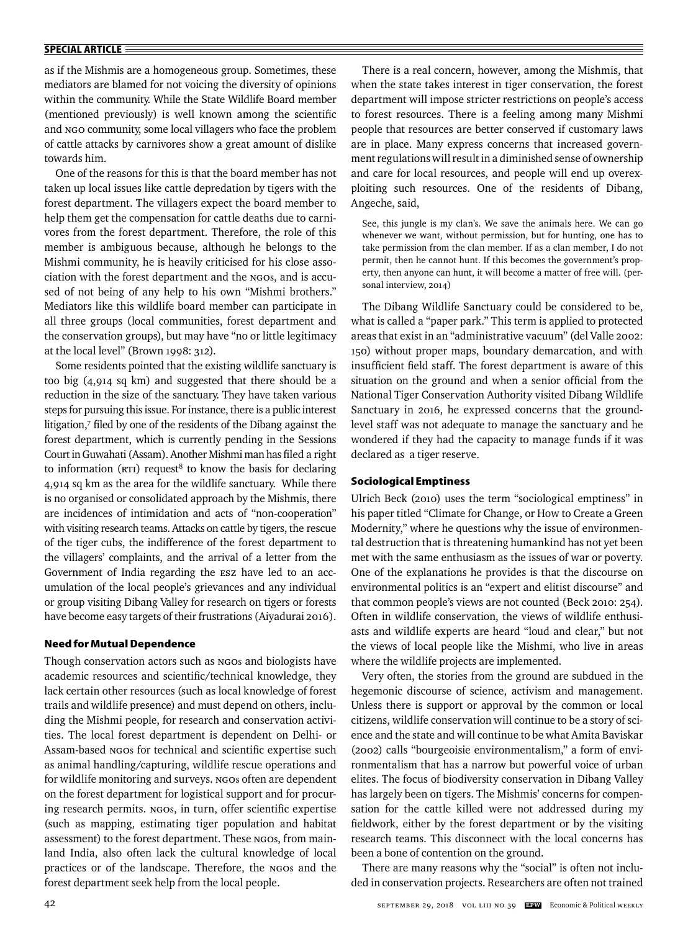as if the Mishmis are a homogeneous group. Sometimes, these mediators are blamed for not voicing the diversity of opinions within the community. While the State Wildlife Board member (mentioned previously) is well known among the scientific and NGO community, some local villagers who face the problem of cattle attacks by carnivores show a great amount of dislike towards him.

One of the reasons for this is that the board member has not taken up local issues like cattle depredation by tigers with the forest department. The villagers expect the board member to help them get the compensation for cattle deaths due to carnivores from the forest department. Therefore, the role of this member is ambiguous because, although he belongs to the Mishmi community, he is heavily criticised for his close association with the forest department and the NGOs, and is accused of not being of any help to his own "Mishmi brothers." Mediators like this wildlife board member can participate in all three groups (local communities, forest department and the conservation groups), but may have "no or little legitimacy at the local level" (Brown 1998: 312).

Some residents pointed that the existing wildlife sanctuary is too big (4,914 sq km) and suggested that there should be a reduction in the size of the sanctuary. They have taken various steps for pursuing this issue. For instance, there is a public interest litigation,7 filed by one of the residents of the Dibang against the forest department, which is currently pending in the Sessions Court in Guwahati (Assam). Another Mishmi man has filed a right to information ( $RTI$ ) request<sup>8</sup> to know the basis for declaring 4,914 sq km as the area for the wildlife sanctuary. While there is no organised or consolidated approach by the Mishmis, there are incidences of intimidation and acts of "non-cooperation" with visiting research teams. Attacks on cattle by tigers, the rescue of the tiger cubs, the indifference of the forest department to the villagers' complaints, and the arrival of a letter from the Government of India regarding the ESZ have led to an accumulation of the local people's grievances and any individual or group visiting Dibang Valley for research on tigers or forests have become easy targets of their frustrations (Aiyadurai 2016).

## **Need for Mutual Dependence**

Though conservation actors such as NGOs and biologists have academic resources and scientific/technical knowledge, they lack certain other resources (such as local knowledge of forest trails and wildlife presence) and must depend on others, including the Mishmi people, for research and conservation activities. The local forest department is dependent on Delhi- or Assam-based NGOs for technical and scientific expertise such as animal handling/capturing, wildlife rescue operations and for wildlife monitoring and surveys. NGOs often are dependent on the forest department for logistical support and for procuring research permits. NGOs, in turn, offer scientific expertise (such as mapping, estimating tiger population and habitat assessment) to the forest department. These NGOs, from mainland India, also often lack the cultural knowledge of local practices or of the landscape. Therefore, the NGOs and the forest department seek help from the local people.

There is a real concern, however, among the Mishmis, that when the state takes interest in tiger conservation, the forest department will impose stricter restrictions on people's access to forest resources. There is a feeling among many Mishmi people that resources are better conserved if customary laws are in place. Many express concerns that increased government regulations will result in a diminished sense of ownership and care for local resources, and people will end up overexploiting such resources. One of the residents of Dibang, Angeche, said,

See, this jungle is my clan's. We save the animals here. We can go whenever we want, without permission, but for hunting, one has to take permission from the clan member. If as a clan member, I do not permit, then he cannot hunt. If this becomes the government's property, then anyone can hunt, it will become a matter of free will. (personal interview, 2014)

The Dibang Wildlife Sanctuary could be considered to be, what is called a "paper park." This term is applied to protected areas that exist in an "administrative vacuum" (del Valle 2002: 150) without proper maps, boundary demarcation, and with insufficient field staff. The forest department is aware of this situation on the ground and when a senior official from the National Tiger Conservation Authority visited Dibang Wildlife Sanctuary in 2016, he expressed concerns that the groundlevel staff was not adequate to manage the sanctuary and he wondered if they had the capacity to manage funds if it was declared as a tiger reserve.

## **Sociological Emptiness**

Ulrich Beck (2010) uses the term "sociological emptiness" in his paper titled "Climate for Change, or How to Create a Green Modernity," where he questions why the issue of environmental destruction that is threatening humankind has not yet been met with the same enthusiasm as the issues of war or poverty. One of the explanations he provides is that the discourse on environmental politics is an "expert and elitist discourse" and that common people's views are not counted (Beck 2010: 254). Often in wildlife conservation, the views of wildlife enthusiasts and wildlife experts are heard "loud and clear," but not the views of local people like the Mishmi, who live in areas where the wildlife projects are implemented.

Very often, the stories from the ground are subdued in the hegemonic discourse of science, activism and management. Unless there is support or approval by the common or local citizens, wildlife conservation will continue to be a story of science and the state and will continue to be what Amita Baviskar (2002) calls "bourgeoisie environmentalism," a form of environmentalism that has a narrow but powerful voice of urban elites. The focus of biodiversity conservation in Dibang Valley has largely been on tigers. The Mishmis' concerns for compensation for the cattle killed were not addressed during my fieldwork, either by the forest department or by the visiting research teams. This disconnect with the local concerns has been a bone of contention on the ground.

There are many reasons why the "social" is often not included in conservation projects. Researchers are often not trained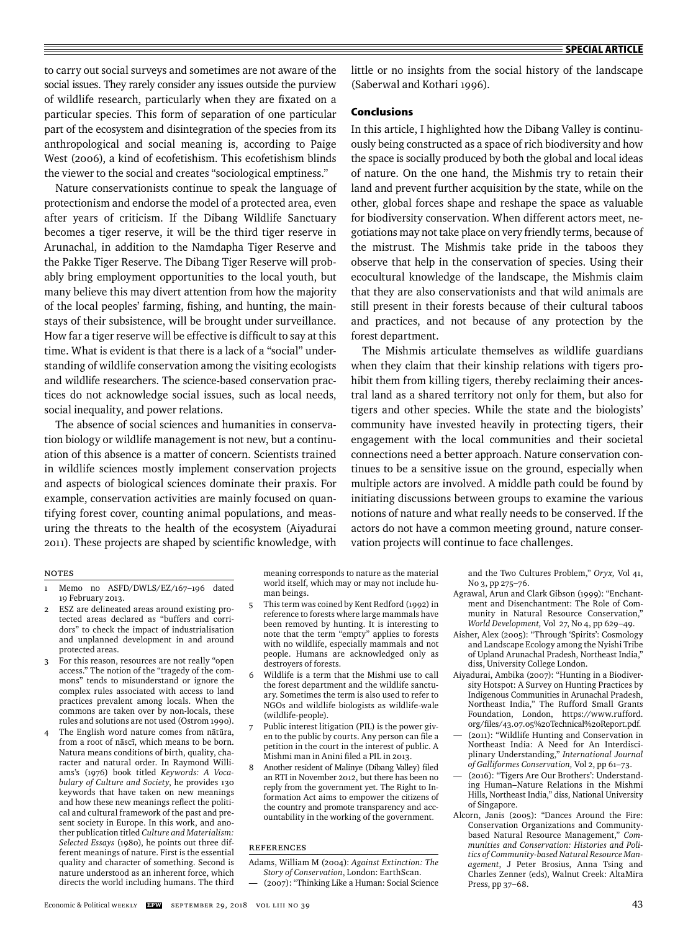to carry out social surveys and sometimes are not aware of the social issues. They rarely consider any issues outside the purview of wildlife research, particularly when they are fixated on a particular species. This form of separation of one particular part of the ecosystem and disintegration of the species from its anthropological and social meaning is, according to Paige West (2006), a kind of ecofetishism. This ecofetishism blinds the viewer to the social and creates "sociological emptiness."

Nature conservationists continue to speak the language of protectionism and endorse the model of a protected area, even after years of criticism. If the Dibang Wildlife Sanctuary becomes a tiger reserve, it will be the third tiger reserve in Arunachal, in addition to the Namdapha Tiger Reserve and the Pakke Tiger Reserve. The Dibang Tiger Reserve will probably bring employment opportunities to the local youth, but many believe this may divert attention from how the majority of the local peoples' farming, fishing, and hunting, the mainstays of their subsistence, will be brought under surveillance. How far a tiger reserve will be effective is difficult to say at this time. What is evident is that there is a lack of a "social" understanding of wildlife conservation among the visiting ecologists and wildlife researchers. The science-based conservation practices do not acknowledge social issues, such as local needs, social inequality, and power relations.

The absence of social sciences and humanities in conservation biology or wildlife management is not new, but a continuation of this absence is a matter of concern. Scientists trained in wildlife sciences mostly implement conservation projects and aspects of biological sciences dominate their praxis. For example, conservation activities are mainly focused on quantifying forest cover, counting animal populations, and measuring the threats to the health of the ecosystem (Aiyadurai 2011). These projects are shaped by scientific knowledge, with little or no insights from the social history of the landscape (Saberwal and Kothari 1996).

# **Conclusions**

In this article, I highlighted how the Dibang Valley is continuously being constructed as a space of rich biodiversity and how the space is socially produced by both the global and local ideas of nature. On the one hand, the Mishmis try to retain their land and prevent further acquisition by the state, while on the other, global forces shape and reshape the space as valuable for biodiversity conservation. When different actors meet, negotiations may not take place on very friendly terms, because of the mistrust. The Mishmis take pride in the taboos they observe that help in the conservation of species. Using their ecocultural knowledge of the landscape, the Mishmis claim that they are also conservationists and that wild animals are still present in their forests because of their cultural taboos and practices, and not because of any protection by the forest department.

The Mishmis articulate themselves as wildlife guardians when they claim that their kinship relations with tigers prohibit them from killing tigers, thereby reclaiming their ancestral land as a shared territory not only for them, but also for tigers and other species. While the state and the biologists' community have invested heavily in protecting tigers, their engagement with the local communities and their societal connections need a better approach. Nature conservation continues to be a sensitive issue on the ground, especially when multiple actors are involved. A middle path could be found by initiating discussions between groups to examine the various notions of nature and what really needs to be conserved. If the actors do not have a common meeting ground, nature conservation projects will continue to face challenges.

# Notes

- Memo no ASFD/DWLS/EZ/167-196 dated 19 February 2013.
- 2 ESZ are delineated areas around existing protected areas declared as "buffers and corridors" to check the impact of industrialisation and unplanned development in and around protected areas.
- 3 For this reason, resources are not really "open access." The notion of the "tragedy of the commons" tends to misunderstand or ignore the complex rules associated with access to land practices prevalent among locals. When the commons are taken over by non-locals, these rules and solutions are not used (Ostrom 1990).
- The English word nature comes from nātūra, from a root of nāscī, which means to be born. Natura means conditions of birth, quality, character and natural order. In Raymond Williams's (1976) book titled *Keywords: A Vocabulary of Culture and Society*, he provides 130 keywords that have taken on new meanings and how these new meanings reflect the political and cultural framework of the past and present society in Europe. In this work, and another publication titled *Culture and Materia lism: Selected Essays* (1980), he points out three different meanings of nature. First is the essential quality and character of something. Second is nature understood as an inherent force, which directs the world including humans. The third

meaning corresponds to nature as the material world itself, which may or may not include human beings.

- 5 This term was coined by Kent Redford (1992) in reference to forests where large mammals have been removed by hunting. It is interesting to note that the term "empty" applies to forests with no wildlife, especially mammals and not people. Humans are acknowledged only as destroyers of forests.
- 6 Wildlife is a term that the Mishmi use to call the forest department and the wildlife sanctuary. Sometimes the term is also used to refer to NGOs and wildlife biologists as wildlife-wale (wildlife-people).
- 7 Public interest litigation (PIL) is the power given to the public by courts. Any person can file a petition in the court in the interest of public. A Mishmi man in Anini filed a PIL in 2013.
- 8 Another resident of Malinye (Dibang Valley) filed an RTI in November 2012, but there has been no reply from the government yet. The Right to Information Act aims to empower the citizens of the country and promote transparency and accountability in the working of the government.

# References

- Adams, William M (2004): *Against Extinction: The Story of Conservation*, London: EarthScan.
- (2007): "Thinking Like a Human: Social Science

and the Two Cultures Problem," *Oryx,* Vol 41, No 3, pp 275–76.

- Agrawal, Arun and Clark Gibson (1999): "Enchantment and Disenchantment: The Role of Community in Natural Resource Conservation," *World Development,* Vol 27, No 4, pp 629–49.
- Aisher, Alex (2005): "Through 'Spirits': Cosmology and Landscape Ecology among the Nyishi Tribe of Upland Arunachal Pradesh, Northeast India," diss, University College London.
- Aiyadurai, Ambika (2007): "Hunting in a Biodiversity Hotspot: A Survey on Hunting Practices by Indigenous Communities in Arunachal Pradesh, Northeast India," The Rufford Small Grants Foundation, London, https://www.rufford. org/files/43.07.05%20Technical%20Report.pdf.
- (2011): "Wildlife Hunting and Conservation in Northeast India: A Need for An Interdisciplinary Understanding," *International Journal of Galliformes Conservation,* Vol 2, pp 61–73.
- (2016): "Tigers Are Our Brothers': Understanding Human–Nature Relations in the Mishmi Hills, Northeast India," diss, National University of Singapore.
- Alcorn, Janis (2005): "Dances Around the Fire: Conservation Organizations and Communitybased Natural Resource Management," *Communities and Conservation: Histories and Politics of Community-based Natural Resource Management*, J Peter Brosius, Anna Tsing and Charles Zenner (eds), Walnut Creek: AltaMira Press, pp 37–68.